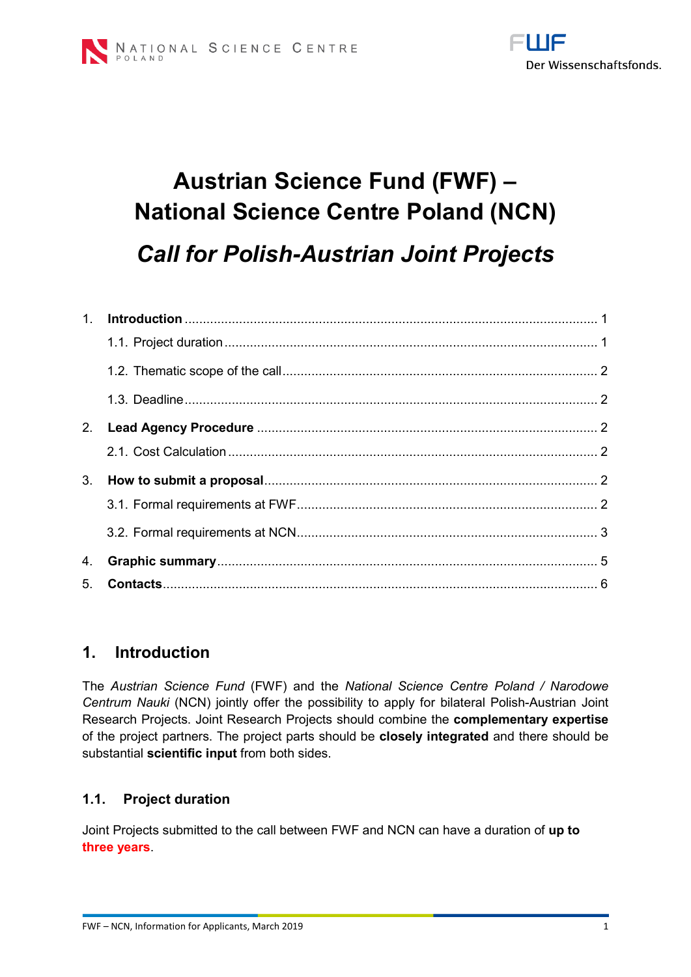

# **Austrian Science Fund (FWF) – National Science Centre Poland (NCN)** *Call for Polish-Austrian Joint Projects*

| 3.             |  |
|----------------|--|
|                |  |
|                |  |
| 4.             |  |
| 5 <sub>1</sub> |  |

## <span id="page-0-0"></span>**1. Introduction**

The *Austrian Science Fund* (FWF) and the *National Science Centre Poland / Narodowe Centrum Nauki* (NCN) jointly offer the possibility to apply for bilateral Polish-Austrian Joint Research Projects. Joint Research Projects should combine the **complementary expertise**  of the project partners. The project parts should be **closely integrated** and there should be substantial **scientific input** from both sides.

## <span id="page-0-1"></span>**1.1. Project duration**

Joint Projects submitted to the call between FWF and NCN can have a duration of **up to three years**.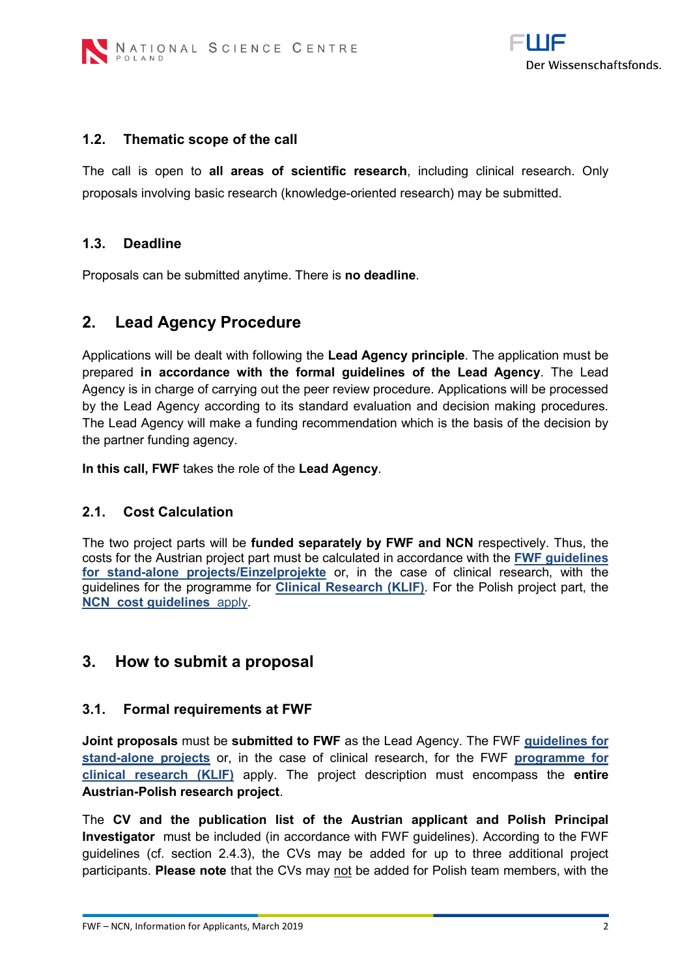

#### <span id="page-1-0"></span>**1.2. Thematic scope of the call**

The call is open to **all areas of scientific research**, including clinical research. Only proposals involving basic research (knowledge-oriented research) may be submitted.

#### <span id="page-1-1"></span>**1.3. Deadline**

Proposals can be submitted anytime. There is **no deadline**.

## <span id="page-1-2"></span>**2. Lead Agency Procedure**

Applications will be dealt with following the **Lead Agency principle**. The application must be prepared **in accordance with the formal guidelines of the Lead Agency**. The Lead Agency is in charge of carrying out the peer review procedure. Applications will be processed by the Lead Agency according to its standard evaluation and decision making procedures. The Lead Agency will make a funding recommendation which is the basis of the decision by the partner funding agency.

<span id="page-1-3"></span>**In this call, FWF** takes the role of the **Lead Agency**.

#### **2.1. Cost Calculation**

The two project parts will be **funded separately by FWF and NCN** respectively. Thus, the costs for the Austrian project part must be calculated in accordance with the **[FWF guidelines](http://www.fwf.ac.at/fileadmin/files/Dokumente/Antragstellung/Einzelprojekte/p_application-guidelines.pdf)  [for stand-alone projects/Einzelprojekte](http://www.fwf.ac.at/fileadmin/files/Dokumente/Antragstellung/Einzelprojekte/p_application-guidelines.pdf)** or, in the case of clinical research, with the guidelines for the programme for **[Clinical Research \(KLIF\)](http://www.fwf.ac.at/fileadmin/files/Dokumente/Antragstellung/KLIF/klif_application-guidelines.pdf)**. For the Polish project part, the **[NCN cost guidelines](https://www.ncn.gov.pl/ogloszenia/konkursy/mozart)** apply.

## <span id="page-1-4"></span>**3. How to submit a proposal**

#### <span id="page-1-5"></span>**3.1. Formal requirements at FWF**

**Joint proposals** must be **submitted to FWF** as the Lead Agency. The FWF **[guidelines for](http://www.fwf.ac.at/fileadmin/files/Dokumente/Antragstellung/Einzelprojekte/p_application-guidelines.pdf)  [stand-alone projects](http://www.fwf.ac.at/fileadmin/files/Dokumente/Antragstellung/Einzelprojekte/p_application-guidelines.pdf)** or, in the case of clinical research, for the FWF **[programme for](http://www.fwf.ac.at/fileadmin/files/Dokumente/Antragstellung/KLIF/klif_application-guidelines.pdf)  [clinical research \(KLIF\)](http://www.fwf.ac.at/fileadmin/files/Dokumente/Antragstellung/KLIF/klif_application-guidelines.pdf)** apply. The project description must encompass the **entire Austrian-Polish research project**.

The **CV and the publication list of the Austrian applicant and Polish Principal Investigator** must be included (in accordance with FWF guidelines). According to the FWF guidelines (cf. section 2.4.3), the CVs may be added for up to three additional project participants. **Please note** that the CVs may not be added for Polish team members, with the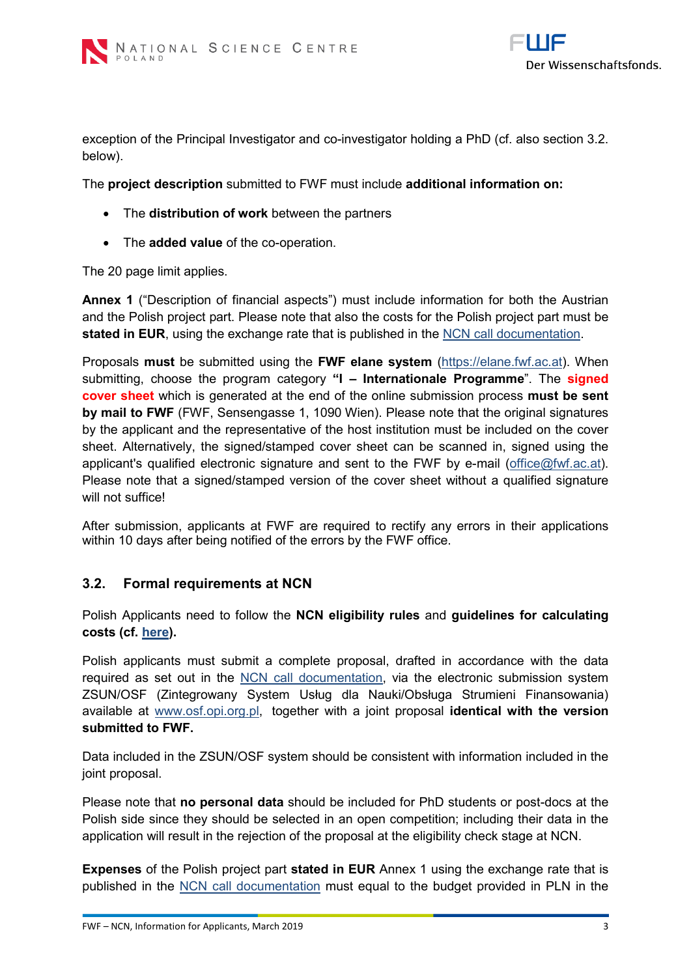

exception of the Principal Investigator and co-investigator holding a PhD (cf. also section 3.2. below).

The **project description** submitted to FWF must include **additional information on:**

- The **distribution of work** between the partners
- The **added value** of the co-operation.

The 20 page limit applies.

**Annex 1** ("Description of financial aspects") must include information for both the Austrian and the Polish project part. Please note that also the costs for the Polish project part must be **stated in EUR**, using the exchange rate that is published in the [NCN call documentation.](https://www.ncn.gov.pl/ogloszenia/konkursy/mozart)

Proposals **must** be submitted using the **FWF elane system** [\(https://elane.fwf.ac.at\)](https://elane.fwf.ac.at/). When submitting, choose the program category **"I – Internationale Programme**". The **signed cover sheet** which is generated at the end of the online submission process **must be sent by mail to FWF** (FWF, Sensengasse 1, 1090 Wien). Please note that the original signatures by the applicant and the representative of the host institution must be included on the cover sheet. Alternatively, the signed/stamped cover sheet can be scanned in, signed using the applicant's qualified electronic signature and sent to the FWF by e-mail [\(office@fwf.ac.at\)](mailto:office@fwf.ac.at). Please note that a signed/stamped version of the cover sheet without a qualified signature will not suffice!

After submission, applicants at FWF are required to rectify any errors in their applications within 10 days after being notified of the errors by the FWF office.

#### <span id="page-2-0"></span>**3.2. Formal requirements at NCN**

Polish Applicants need to follow the **NCN eligibility rules** and **guidelines for calculating costs (cf. [here\)](https://www.ncn.gov.pl/ogloszenia/konkursy/mozart).** 

Polish applicants must submit a complete proposal, drafted in accordance with the data required as set out in the [NCN call documentation,](https://www.ncn.gov.pl/ogloszenia/konkursy/mozart) via the electronic submission system ZSUN/OSF (Zintegrowany System Usług dla Nauki/Obsługa Strumieni Finansowania) available at [www.osf.opi.org.pl,](http://www.osf.opi.org.pl/) together with a joint proposal **identical with the version submitted to FWF.**

Data included in the ZSUN/OSF system should be consistent with information included in the joint proposal.

Please note that **no personal data** should be included for PhD students or post-docs at the Polish side since they should be selected in an open competition; including their data in the application will result in the rejection of the proposal at the eligibility check stage at NCN.

**Expenses** of the Polish project part **stated in EUR** Annex 1 using the exchange rate that is published in the [NCN call documentation](https://www.ncn.gov.pl/ogloszenia/konkursy/mozart) must equal to the budget provided in PLN in the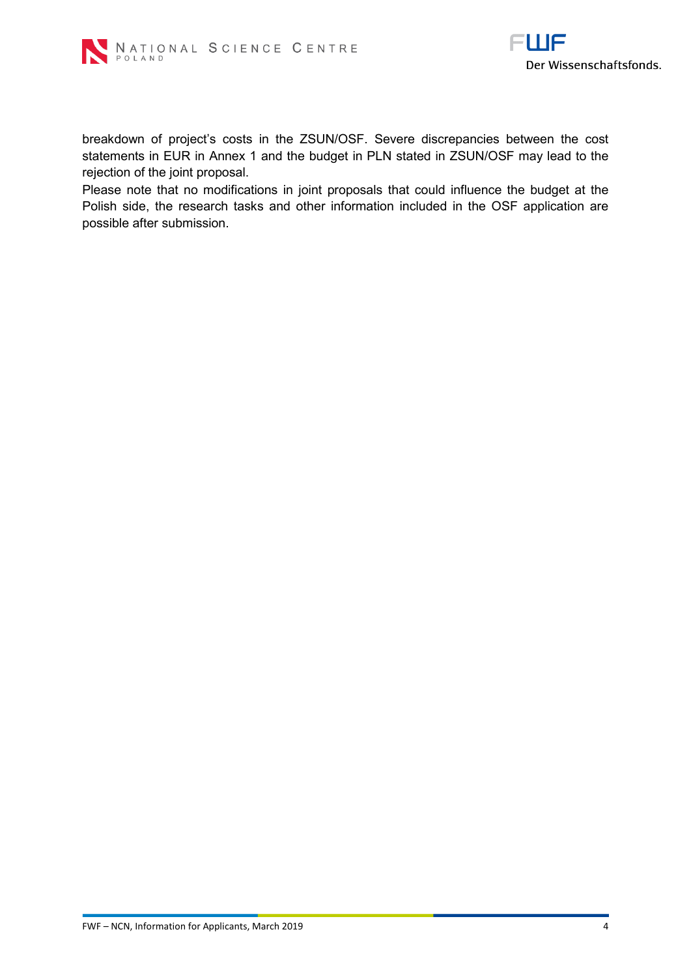



breakdown of project's costs in the ZSUN/OSF. Severe discrepancies between the cost statements in EUR in Annex 1 and the budget in PLN stated in ZSUN/OSF may lead to the rejection of the joint proposal.

Please note that no modifications in joint proposals that could influence the budget at the Polish side, the research tasks and other information included in the OSF application are possible after submission.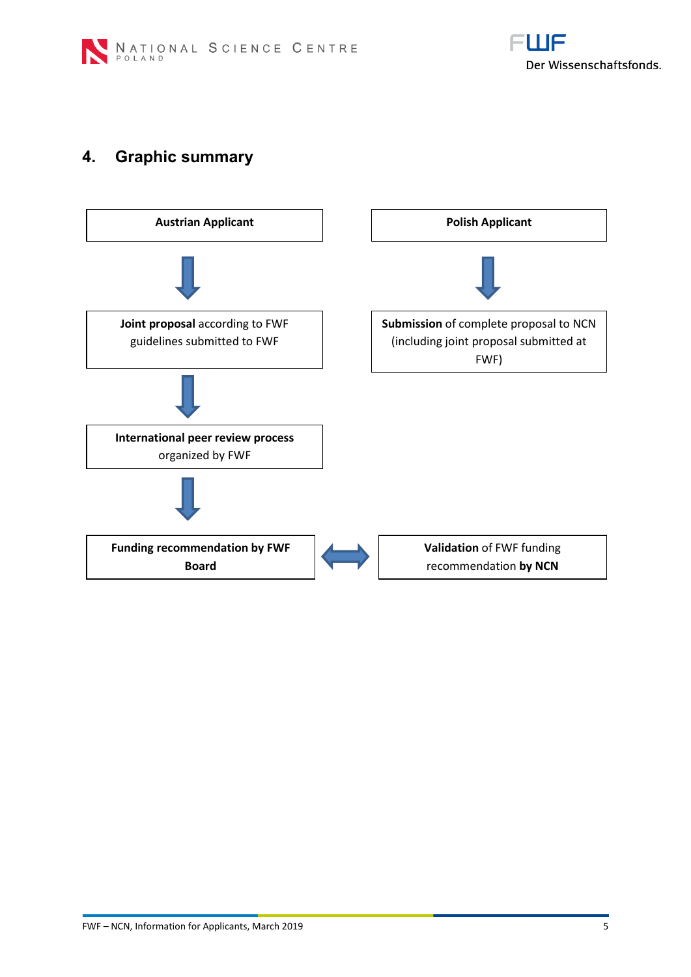

# <span id="page-4-0"></span>**4. Graphic summary**